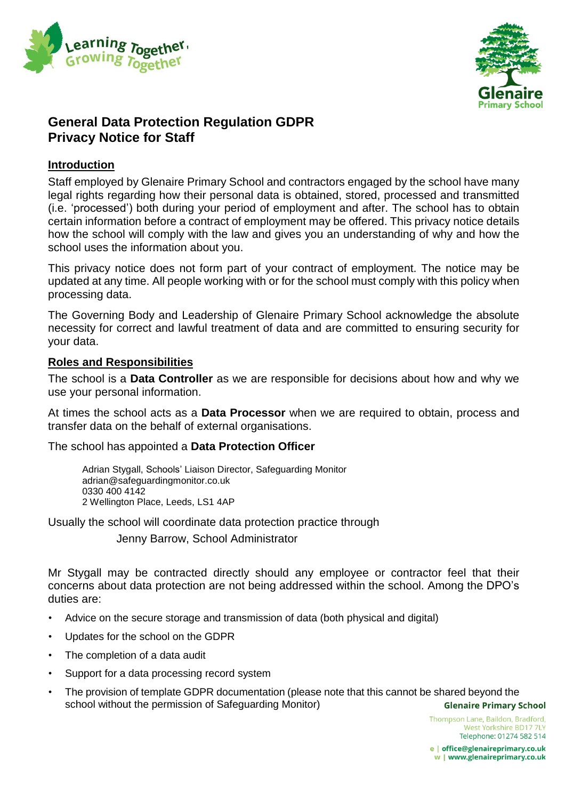



# **General Data Protection Regulation GDPR Privacy Notice for Staff**

# **Introduction**

Staff employed by Glenaire Primary School and contractors engaged by the school have many legal rights regarding how their personal data is obtained, stored, processed and transmitted (i.e. 'processed') both during your period of employment and after. The school has to obtain certain information before a contract of employment may be offered. This privacy notice details how the school will comply with the law and gives you an understanding of why and how the school uses the information about you.

This privacy notice does not form part of your contract of employment. The notice may be updated at any time. All people working with or for the school must comply with this policy when processing data.

The Governing Body and Leadership of Glenaire Primary School acknowledge the absolute necessity for correct and lawful treatment of data and are committed to ensuring security for your data.

# **Roles and Responsibilities**

The school is a **Data Controller** as we are responsible for decisions about how and why we use your personal information.

At times the school acts as a **Data Processor** when we are required to obtain, process and transfer data on the behalf of external organisations.

The school has appointed a **Data Protection Officer**

Adrian Stygall, Schools' Liaison Director, Safeguarding Monitor adrian@safeguardingmonitor.co.uk 0330 400 4142 2 Wellington Place, Leeds, LS1 4AP

Usually the school will coordinate data protection practice through

Jenny Barrow, School Administrator

Mr Stygall may be contracted directly should any employee or contractor feel that their concerns about data protection are not being addressed within the school. Among the DPO's duties are:

- Advice on the secure storage and transmission of data (both physical and digital)
- Updates for the school on the GDPR
- The completion of a data audit
- Support for a data processing record system
- The provision of template GDPR documentation (please note that this cannot be shared beyond the school without the permission of Safeguarding Monitor)**Glenaire Primary School**

Thompson Lane, Baildon, Bradford, West Yorkshire BD17 7LY Telephone: 01274 582 514

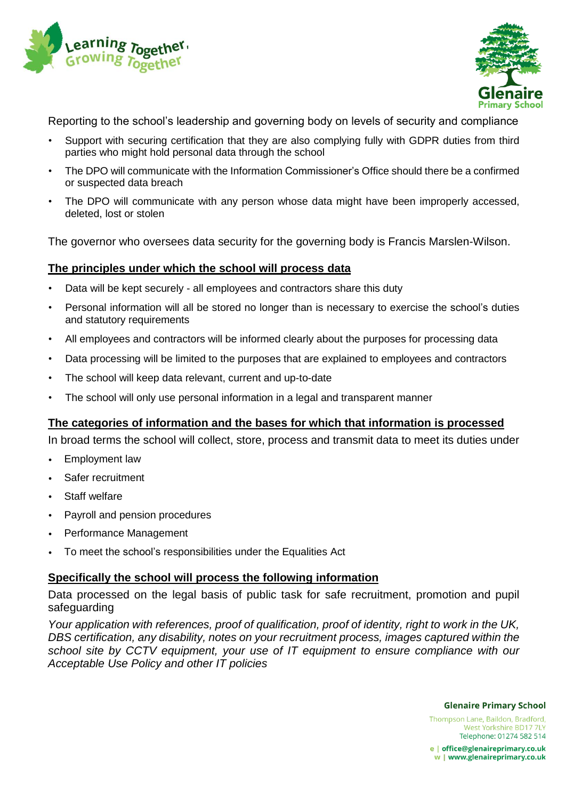



Reporting to the school's leadership and governing body on levels of security and compliance

- Support with securing certification that they are also complying fully with GDPR duties from third parties who might hold personal data through the school
- The DPO will communicate with the Information Commissioner's Office should there be a confirmed or suspected data breach
- The DPO will communicate with any person whose data might have been improperly accessed, deleted, lost or stolen

The governor who oversees data security for the governing body is Francis Marslen-Wilson.

# **The principles under which the school will process data**

- Data will be kept securely all employees and contractors share this duty
- Personal information will all be stored no longer than is necessary to exercise the school's duties and statutory requirements
- All employees and contractors will be informed clearly about the purposes for processing data
- Data processing will be limited to the purposes that are explained to employees and contractors
- The school will keep data relevant, current and up-to-date
- The school will only use personal information in a legal and transparent manner

# **The categories of information and the bases for which that information is processed**

In broad terms the school will collect, store, process and transmit data to meet its duties under

- Employment law
- Safer recruitment
- Staff welfare
- Payroll and pension procedures
- Performance Management
- To meet the school's responsibilities under the Equalities Act

# **Specifically the school will process the following information**

Data processed on the legal basis of public task for safe recruitment, promotion and pupil safeguarding

*Your application with references, proof of qualification, proof of identity, right to work in the UK, DBS certification, any disability, notes on your recruitment process, images captured within the school site by CCTV equipment, your use of IT equipment to ensure compliance with our Acceptable Use Policy and other IT policies*

**Glenaire Primary School** 

Thompson Lane, Baildon, Bradford, West Yorkshire BD17 7LY Telephone: 01274 582 514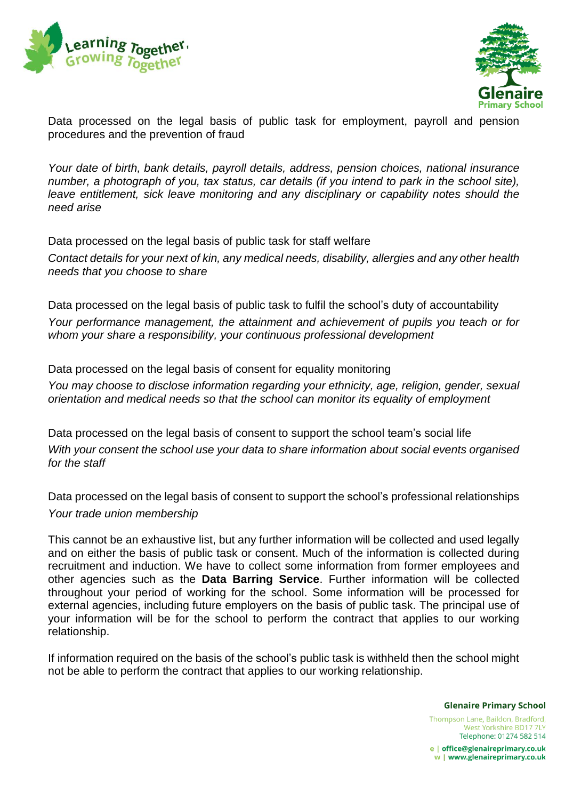



Data processed on the legal basis of public task for employment, payroll and pension procedures and the prevention of fraud

*Your date of birth, bank details, payroll details, address, pension choices, national insurance number, a photograph of you, tax status, car details (if you intend to park in the school site), leave entitlement, sick leave monitoring and any disciplinary or capability notes should the need arise*

Data processed on the legal basis of public task for staff welfare

*Contact details for your next of kin, any medical needs, disability, allergies and any other health needs that you choose to share*

Data processed on the legal basis of public task to fulfil the school's duty of accountability *Your performance management, the attainment and achievement of pupils you teach or for whom your share a responsibility, your continuous professional development*

Data processed on the legal basis of consent for equality monitoring *You may choose to disclose information regarding your ethnicity, age, religion, gender, sexual orientation and medical needs so that the school can monitor its equality of employment*

Data processed on the legal basis of consent to support the school team's social life *With your consent the school use your data to share information about social events organised for the staff*

Data processed on the legal basis of consent to support the school's professional relationships *Your trade union membership*

This cannot be an exhaustive list, but any further information will be collected and used legally and on either the basis of public task or consent. Much of the information is collected during recruitment and induction. We have to collect some information from former employees and other agencies such as the **Data Barring Service**. Further information will be collected throughout your period of working for the school. Some information will be processed for external agencies, including future employers on the basis of public task. The principal use of your information will be for the school to perform the contract that applies to our working relationship.

If information required on the basis of the school's public task is withheld then the school might not be able to perform the contract that applies to our working relationship.

**Glenaire Primary School** 

Thompson Lane, Baildon, Bradford, West Yorkshire BD17 7LY Telephone: 01274 582 514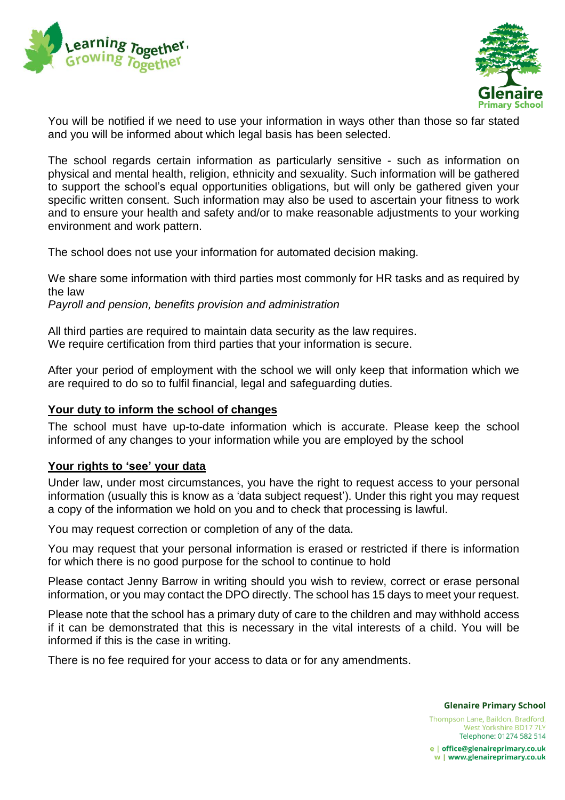



You will be notified if we need to use your information in ways other than those so far stated and you will be informed about which legal basis has been selected.

The school regards certain information as particularly sensitive - such as information on physical and mental health, religion, ethnicity and sexuality. Such information will be gathered to support the school's equal opportunities obligations, but will only be gathered given your specific written consent. Such information may also be used to ascertain your fitness to work and to ensure your health and safety and/or to make reasonable adjustments to your working environment and work pattern.

The school does not use your information for automated decision making.

We share some information with third parties most commonly for HR tasks and as required by the law

*Payroll and pension, benefits provision and administration*

All third parties are required to maintain data security as the law requires. We require certification from third parties that your information is secure.

After your period of employment with the school we will only keep that information which we are required to do so to fulfil financial, legal and safeguarding duties.

#### **Your duty to inform the school of changes**

The school must have up-to-date information which is accurate. Please keep the school informed of any changes to your information while you are employed by the school

#### **Your rights to 'see' your data**

Under law, under most circumstances, you have the right to request access to your personal information (usually this is know as a 'data subject request'). Under this right you may request a copy of the information we hold on you and to check that processing is lawful.

You may request correction or completion of any of the data.

You may request that your personal information is erased or restricted if there is information for which there is no good purpose for the school to continue to hold

Please contact Jenny Barrow in writing should you wish to review, correct or erase personal information, or you may contact the DPO directly. The school has 15 days to meet your request.

Please note that the school has a primary duty of care to the children and may withhold access if it can be demonstrated that this is necessary in the vital interests of a child. You will be informed if this is the case in writing.

There is no fee required for your access to data or for any amendments.

**Glenaire Primary School** 

Thompson Lane, Baildon, Bradford, West Yorkshire BD17 7LY Telephone: 01274 582 514